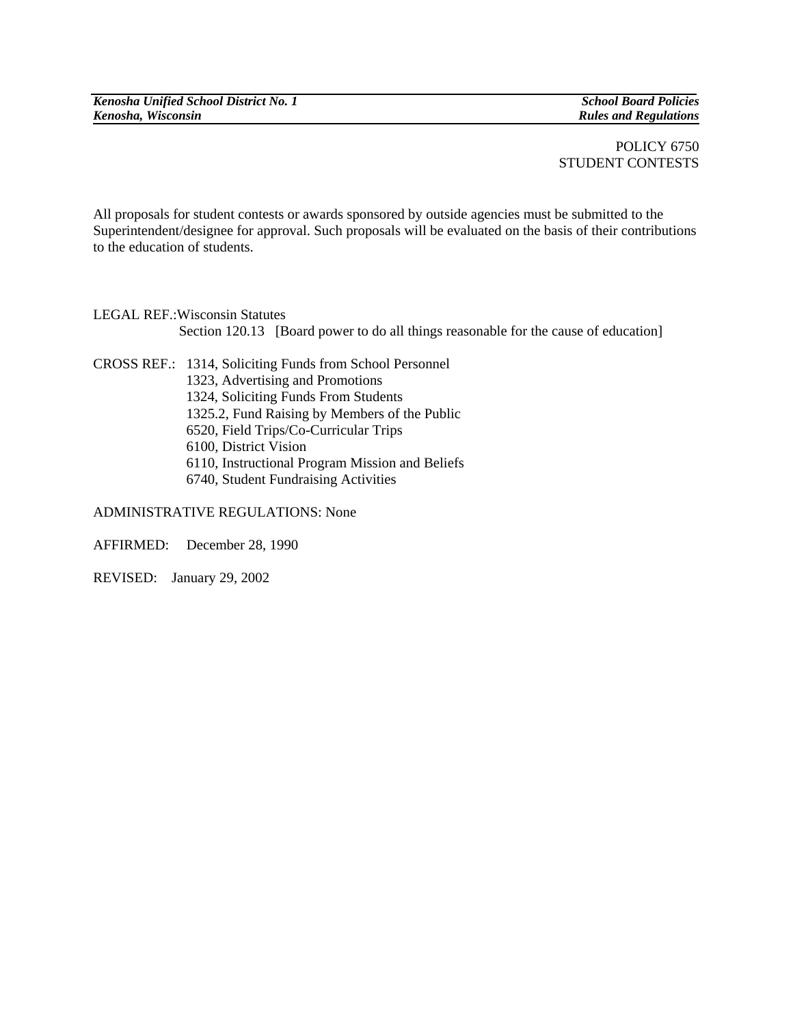POLICY 6750 STUDENT CONTESTS

All proposals for student contests or awards sponsored by outside agencies must be submitted to the Superintendent/designee for approval. Such proposals will be evaluated on the basis of their contributions to the education of students.

LEGAL REF.:Wisconsin Statutes Section 120.13 [Board power to do all things reasonable for the cause of education]

CROSS REF.: 1314, Soliciting Funds from School Personnel 1323, Advertising and Promotions 1324, Soliciting Funds From Students 1325.2, Fund Raising by Members of the Public 6520, Field Trips/Co-Curricular Trips 6100, District Vision 6110, Instructional Program Mission and Beliefs 6740, Student Fundraising Activities

ADMINISTRATIVE REGULATIONS: None

AFFIRMED: December 28, 1990

REVISED: January 29, 2002